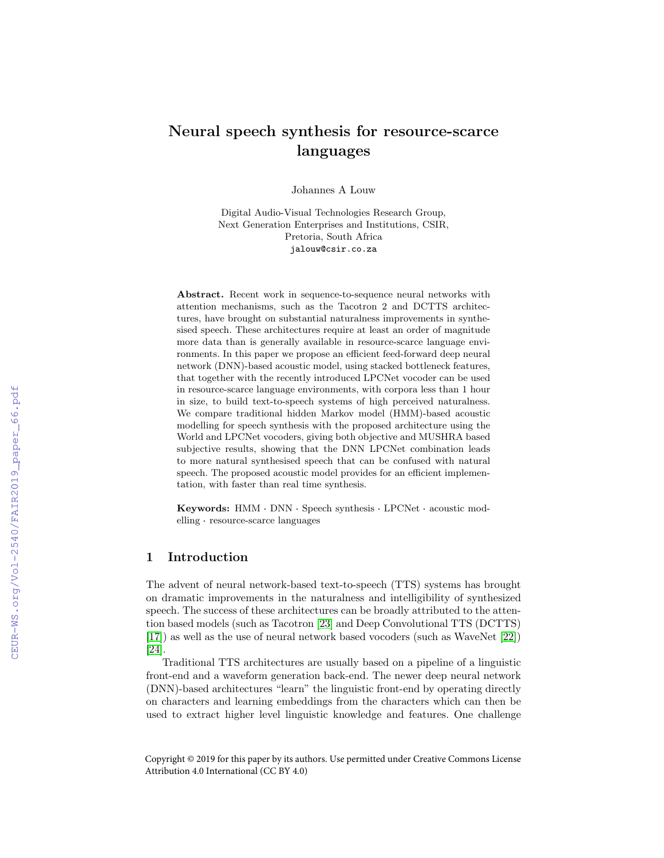# Neural speech synthesis for resource-scarce languages

Johannes A Louw

Digital Audio-Visual Technologies Research Group, Next Generation Enterprises and Institutions, CSIR, Pretoria, South Africa jalouw@csir.co.za

Abstract. Recent work in sequence-to-sequence neural networks with attention mechanisms, such as the Tacotron 2 and DCTTS architectures, have brought on substantial naturalness improvements in synthesised speech. These architectures require at least an order of magnitude more data than is generally available in resource-scarce language environments. In this paper we propose an efficient feed-forward deep neural network (DNN)-based acoustic model, using stacked bottleneck features, that together with the recently introduced LPCNet vocoder can be used in resource-scarce language environments, with corpora less than 1 hour in size, to build text-to-speech systems of high perceived naturalness. We compare traditional hidden Markov model (HMM)-based acoustic modelling for speech synthesis with the proposed architecture using the World and LPCNet vocoders, giving both objective and MUSHRA based subjective results, showing that the DNN LPCNet combination leads to more natural synthesised speech that can be confused with natural speech. The proposed acoustic model provides for an efficient implementation, with faster than real time synthesis.

Keywords: HMM · DNN · Speech synthesis · LPCNet · acoustic mod-**Keywords:** HMM DNN Spee<br>elling resource-scarce languages

# 1 Introduction

The advent of neural network-based text-to-speech (TTS) systems has brought on dramatic improvements in the naturalness and intelligibility of synthesized speech. The success of these architectures can be broadly attributed to the attention based models (such as Tacotron [\[23\]](#page--1-0) and Deep Convolutional TTS (DCTTS) [\[17\]](#page--1-1)) as well as the use of neural network based vocoders (such as WaveNet [\[22\]](#page--1-2)) [\[24\]](#page--1-3).

Traditional TTS architectures are usually based on a pipeline of a linguistic front-end and a waveform generation back-end. The newer deep neural network (DNN)-based architectures "learn" the linguistic front-end by operating directly on characters and learning embeddings from the characters which can then be used to extract higher level linguistic knowledge and features. One challenge

Copyright © 2019 for this paper by its authors. Use permitted under Creative Commons License Attribution 4.0 International (CC BY 4.0)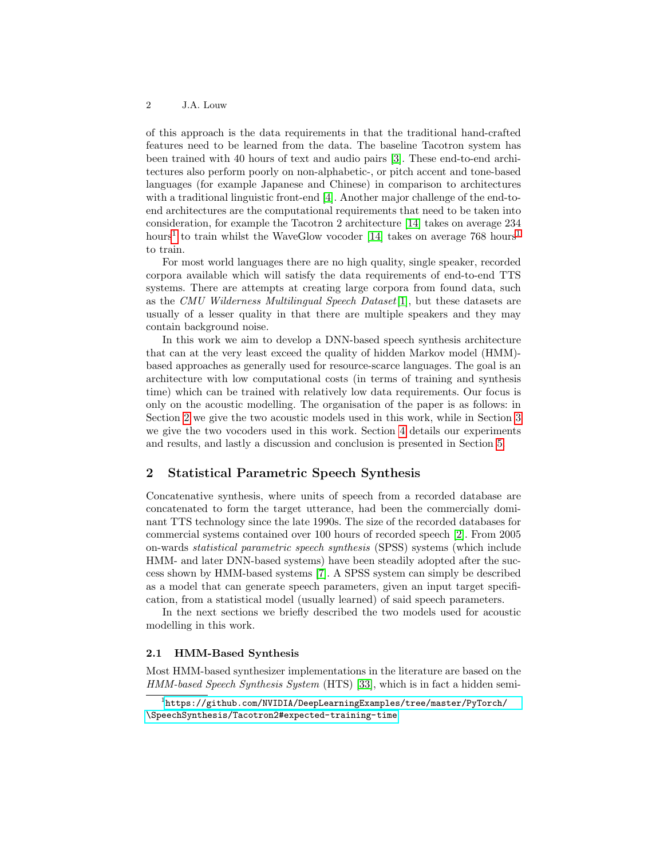of this approach is the data requirements in that the traditional hand-crafted features need to be learned from the data. The baseline Tacotron system has been trained with 40 hours of text and audio pairs [\[3\]](#page-11-0). These end-to-end architectures also perform poorly on non-alphabetic-, or pitch accent and tone-based languages (for example Japanese and Chinese) in comparison to architectures with a traditional linguistic front-end [\[4\]](#page-11-1). Another major challenge of the end-toend architectures are the computational requirements that need to be taken into consideration, for example the Tacotron 2 architecture [\[14\]](#page-11-2) takes on average 234 hours<sup>[1](#page-1-0)</sup> to train whilst the WaveGlow vocoder [\[14\]](#page-11-2) takes on average  $768 \text{ hours}^1$ to train.

For most world languages there are no high quality, single speaker, recorded corpora available which will satisfy the data requirements of end-to-end TTS systems. There are attempts at creating large corpora from found data, such as the CMU Wilderness Multilingual Speech Dataset $[1]$ , but these datasets are usually of a lesser quality in that there are multiple speakers and they may contain background noise.

In this work we aim to develop a DNN-based speech synthesis architecture that can at the very least exceed the quality of hidden Markov model (HMM) based approaches as generally used for resource-scarce languages. The goal is an architecture with low computational costs (in terms of training and synthesis time) which can be trained with relatively low data requirements. Our focus is only on the acoustic modelling. The organisation of the paper is as follows: in Section [2](#page-1-1) we give the two acoustic models used in this work, while in Section [3](#page-3-0) we give the two vocoders used in this work. Section [4](#page-4-0) details our experiments and results, and lastly a discussion and conclusion is presented in Section [5.](#page-10-0)

# <span id="page-1-1"></span>2 Statistical Parametric Speech Synthesis

Concatenative synthesis, where units of speech from a recorded database are concatenated to form the target utterance, had been the commercially dominant TTS technology since the late 1990s. The size of the recorded databases for commercial systems contained over 100 hours of recorded speech [\[2\]](#page-11-4). From 2005 on-wards statistical parametric speech synthesis (SPSS) systems (which include HMM- and later DNN-based systems) have been steadily adopted after the success shown by HMM-based systems [\[7\]](#page-11-5). A SPSS system can simply be described as a model that can generate speech parameters, given an input target specification, from a statistical model (usually learned) of said speech parameters.

In the next sections we briefly described the two models used for acoustic modelling in this work.

### 2.1 HMM-Based Synthesis

Most HMM-based synthesizer implementations in the literature are based on the HMM-based Speech Synthesis System (HTS) [\[33\]](#page-13-0), which is in fact a hidden semi-

<span id="page-1-0"></span> $^1$ [https://github.com/NVIDIA/DeepLearningExamples/tree/master/PyTorch/](https://github.com/NVIDIA/DeepLearningExamples/tree/master/PyTorch/\SpeechSynthesis/Tacotron2#expected-training-time) [\SpeechSynthesis/Tacotron2#expected-training-time](https://github.com/NVIDIA/DeepLearningExamples/tree/master/PyTorch/\SpeechSynthesis/Tacotron2#expected-training-time)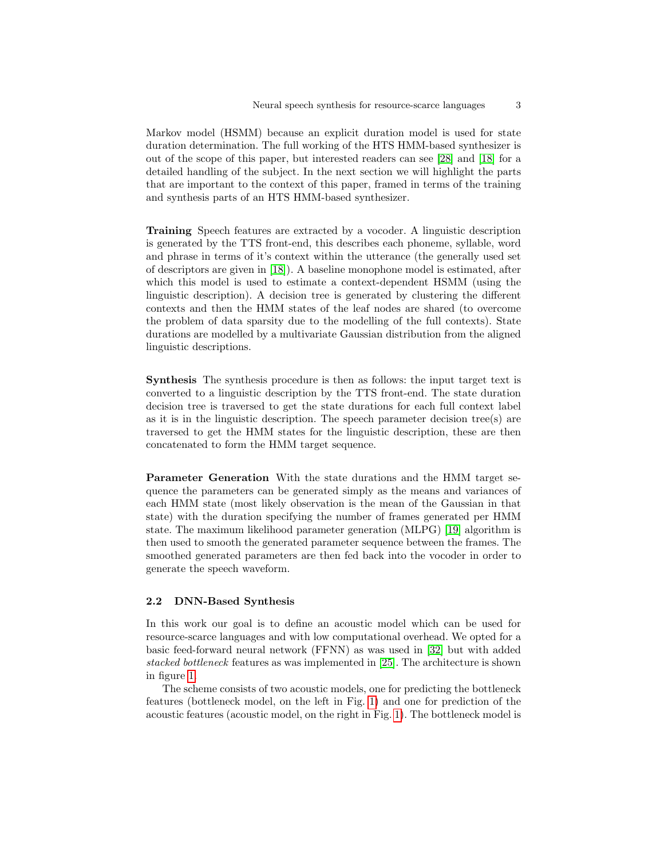Markov model (HSMM) because an explicit duration model is used for state duration determination. The full working of the HTS HMM-based synthesizer is out of the scope of this paper, but interested readers can see [\[28\]](#page-12-0) and [\[18\]](#page-12-1) for a detailed handling of the subject. In the next section we will highlight the parts that are important to the context of this paper, framed in terms of the training and synthesis parts of an HTS HMM-based synthesizer.

Training Speech features are extracted by a vocoder. A linguistic description is generated by the TTS front-end, this describes each phoneme, syllable, word and phrase in terms of it's context within the utterance (the generally used set of descriptors are given in [\[18\]](#page-12-1)). A baseline monophone model is estimated, after which this model is used to estimate a context-dependent HSMM (using the linguistic description). A decision tree is generated by clustering the different contexts and then the HMM states of the leaf nodes are shared (to overcome the problem of data sparsity due to the modelling of the full contexts). State durations are modelled by a multivariate Gaussian distribution from the aligned linguistic descriptions.

Synthesis The synthesis procedure is then as follows: the input target text is converted to a linguistic description by the TTS front-end. The state duration decision tree is traversed to get the state durations for each full context label as it is in the linguistic description. The speech parameter decision tree(s) are traversed to get the HMM states for the linguistic description, these are then concatenated to form the HMM target sequence.

<span id="page-2-0"></span>Parameter Generation With the state durations and the HMM target sequence the parameters can be generated simply as the means and variances of each HMM state (most likely observation is the mean of the Gaussian in that state) with the duration specifying the number of frames generated per HMM state. The maximum likelihood parameter generation (MLPG) [\[19\]](#page-12-2) algorithm is then used to smooth the generated parameter sequence between the frames. The smoothed generated parameters are then fed back into the vocoder in order to generate the speech waveform.

### 2.2 DNN-Based Synthesis

In this work our goal is to define an acoustic model which can be used for resource-scarce languages and with low computational overhead. We opted for a basic feed-forward neural network (FFNN) as was used in [\[32\]](#page-12-3) but with added stacked bottleneck features as was implemented in [\[25\]](#page-12-4). The architecture is shown in figure [1.](#page-3-1)

The scheme consists of two acoustic models, one for predicting the bottleneck features (bottleneck model, on the left in Fig. [1\)](#page-3-1) and one for prediction of the acoustic features (acoustic model, on the right in Fig. [1\)](#page-3-1). The bottleneck model is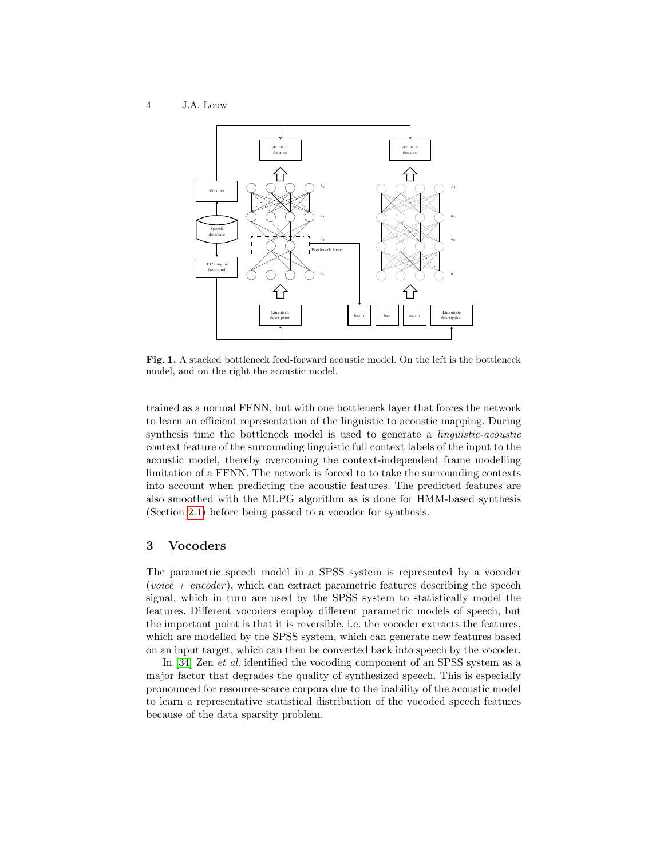

<span id="page-3-1"></span>Fig. 1. A stacked bottleneck feed-forward acoustic model. On the left is the bottleneck model, and on the right the acoustic model.

trained as a normal FFNN, but with one bottleneck layer that forces the network to learn an efficient representation of the linguistic to acoustic mapping. During synthesis time the bottleneck model is used to generate a *linguistic-acoustic* context feature of the surrounding linguistic full context labels of the input to the acoustic model, thereby overcoming the context-independent frame modelling limitation of a FFNN. The network is forced to to take the surrounding contexts into account when predicting the acoustic features. The predicted features are also smoothed with the MLPG algorithm as is done for HMM-based synthesis (Section [2.1\)](#page-2-0) before being passed to a vocoder for synthesis.

## <span id="page-3-0"></span>3 Vocoders

The parametric speech model in a SPSS system is represented by a vocoder (voice  $+$  encoder), which can extract parametric features describing the speech signal, which in turn are used by the SPSS system to statistically model the features. Different vocoders employ different parametric models of speech, but the important point is that it is reversible, i.e. the vocoder extracts the features, which are modelled by the SPSS system, which can generate new features based on an input target, which can then be converted back into speech by the vocoder.

In [\[34\]](#page-13-1) Zen et al. identified the vocoding component of an SPSS system as a major factor that degrades the quality of synthesized speech. This is especially pronounced for resource-scarce corpora due to the inability of the acoustic model to learn a representative statistical distribution of the vocoded speech features because of the data sparsity problem.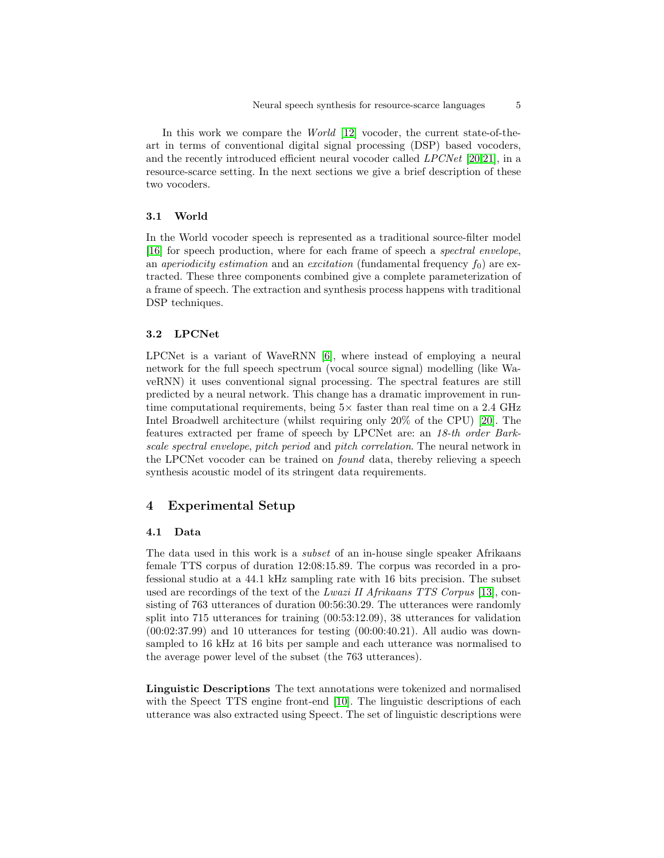In this work we compare the *World* [\[12\]](#page-11-6) vocoder, the current state-of-theart in terms of conventional digital signal processing (DSP) based vocoders, and the recently introduced efficient neural vocoder called LPCNet [\[20](#page-12-5)[,21\]](#page-12-6), in a resource-scarce setting. In the next sections we give a brief description of these two vocoders.

#### 3.1 World

In the World vocoder speech is represented as a traditional source-filter model [\[16\]](#page-11-7) for speech production, where for each frame of speech a spectral envelope, an *aperiodicity estimation* and an *excitation* (fundamental frequency  $f_0$ ) are extracted. These three components combined give a complete parameterization of a frame of speech. The extraction and synthesis process happens with traditional DSP techniques.

### 3.2 LPCNet

LPCNet is a variant of WaveRNN [\[6\]](#page-11-8), where instead of employing a neural network for the full speech spectrum (vocal source signal) modelling (like WaveRNN) it uses conventional signal processing. The spectral features are still predicted by a neural network. This change has a dramatic improvement in runtime computational requirements, being  $5\times$  faster than real time on a 2.4 GHz Intel Broadwell architecture (whilst requiring only 20% of the CPU) [\[20\]](#page-12-5). The features extracted per frame of speech by LPCNet are: an 18-th order Barkscale spectral envelope, pitch period and pitch correlation. The neural network in the LPCNet vocoder can be trained on found data, thereby relieving a speech synthesis acoustic model of its stringent data requirements.

# <span id="page-4-0"></span>4 Experimental Setup

### 4.1 Data

The data used in this work is a subset of an in-house single speaker Afrikaans female TTS corpus of duration 12:08:15.89. The corpus was recorded in a professional studio at a 44.1 kHz sampling rate with 16 bits precision. The subset used are recordings of the text of the Lwazi II Afrikaans TTS Corpus [\[13\]](#page-11-9), consisting of 763 utterances of duration 00:56:30.29. The utterances were randomly split into 715 utterances for training (00:53:12.09), 38 utterances for validation  $(00:02:37.99)$  and 10 utterances for testing  $(00:00:40.21)$ . All audio was downsampled to 16 kHz at 16 bits per sample and each utterance was normalised to the average power level of the subset (the 763 utterances).

<span id="page-4-1"></span>Linguistic Descriptions The text annotations were tokenized and normalised with the Speect TTS engine front-end [\[10\]](#page-11-10). The linguistic descriptions of each utterance was also extracted using Speect. The set of linguistic descriptions were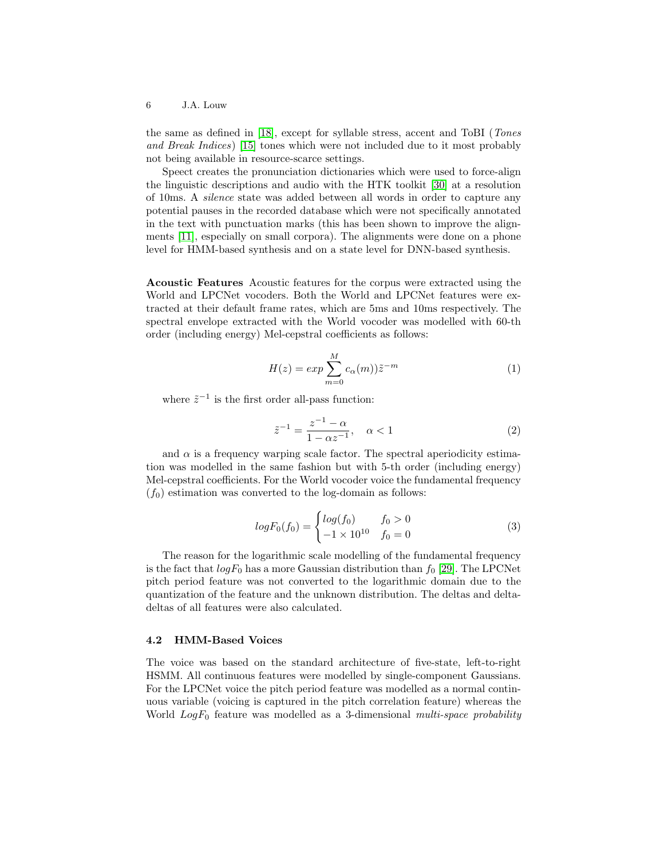the same as defined in [\[18\]](#page-12-1), except for syllable stress, accent and ToBI (Tones and Break Indices) [\[15\]](#page-11-11) tones which were not included due to it most probably not being available in resource-scarce settings.

Speect creates the pronunciation dictionaries which were used to force-align the linguistic descriptions and audio with the HTK toolkit [\[30\]](#page-12-7) at a resolution of 10ms. A silence state was added between all words in order to capture any potential pauses in the recorded database which were not specifically annotated in the text with punctuation marks (this has been shown to improve the alignments [\[11\]](#page-11-12), especially on small corpora). The alignments were done on a phone level for HMM-based synthesis and on a state level for DNN-based synthesis.

Acoustic Features Acoustic features for the corpus were extracted using the World and LPCNet vocoders. Both the World and LPCNet features were extracted at their default frame rates, which are 5ms and 10ms respectively. The spectral envelope extracted with the World vocoder was modelled with 60-th order (including energy) Mel-cepstral coefficients as follows:

$$
H(z) = exp\sum_{m=0}^{M} c_{\alpha}(m)\tilde{z}^{-m}
$$
 (1)

where  $\tilde{z}^{-1}$  is the first order all-pass function:

$$
\tilde{z}^{-1} = \frac{z^{-1} - \alpha}{1 - \alpha z^{-1}}, \quad \alpha < 1 \tag{2}
$$

and  $\alpha$  is a frequency warping scale factor. The spectral aperiodicity estimation was modelled in the same fashion but with 5-th order (including energy) Mel-cepstral coefficients. For the World vocoder voice the fundamental frequency  $(f_0)$  estimation was converted to the log-domain as follows:

$$
logF_0(f_0) = \begin{cases} log(f_0) & f_0 > 0\\ -1 \times 10^{10} & f_0 = 0 \end{cases}
$$
 (3)

The reason for the logarithmic scale modelling of the fundamental frequency is the fact that  $logF_0$  has a more Gaussian distribution than  $f_0$  [\[29\]](#page-12-8). The LPCNet pitch period feature was not converted to the logarithmic domain due to the quantization of the feature and the unknown distribution. The deltas and deltadeltas of all features were also calculated.

### <span id="page-5-0"></span>4.2 HMM-Based Voices

The voice was based on the standard architecture of five-state, left-to-right HSMM. All continuous features were modelled by single-component Gaussians. For the LPCNet voice the pitch period feature was modelled as a normal continuous variable (voicing is captured in the pitch correlation feature) whereas the World  $LogF_0$  feature was modelled as a 3-dimensional *multi-space probability*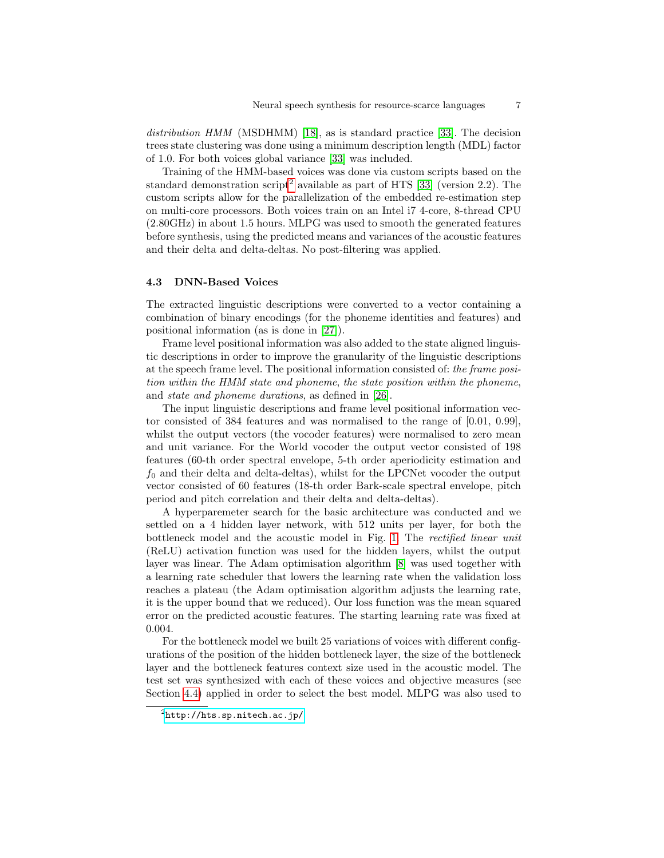distribution HMM (MSDHMM) [\[18\]](#page-12-1), as is standard practice [\[33\]](#page-13-0). The decision trees state clustering was done using a minimum description length (MDL) factor of 1.0. For both voices global variance [\[33\]](#page-13-0) was included.

Training of the HMM-based voices was done via custom scripts based on the standard demonstration script<sup>[2](#page-6-0)</sup> available as part of HTS [\[33\]](#page-13-0) (version 2.2). The custom scripts allow for the parallelization of the embedded re-estimation step on multi-core processors. Both voices train on an Intel i7 4-core, 8-thread CPU (2.80GHz) in about 1.5 hours. MLPG was used to smooth the generated features before synthesis, using the predicted means and variances of the acoustic features and their delta and delta-deltas. No post-filtering was applied.

#### <span id="page-6-1"></span>4.3 DNN-Based Voices

The extracted linguistic descriptions were converted to a vector containing a combination of binary encodings (for the phoneme identities and features) and positional information (as is done in [\[27\]](#page-12-9)).

Frame level positional information was also added to the state aligned linguistic descriptions in order to improve the granularity of the linguistic descriptions at the speech frame level. The positional information consisted of: the frame position within the HMM state and phoneme, the state position within the phoneme, and state and phoneme durations, as defined in [\[26\]](#page-12-10).

The input linguistic descriptions and frame level positional information vector consisted of 384 features and was normalised to the range of [0.01, 0.99], whilst the output vectors (the vocoder features) were normalised to zero mean and unit variance. For the World vocoder the output vector consisted of 198 features (60-th order spectral envelope, 5-th order aperiodicity estimation and  $f_0$  and their delta and delta-deltas), whilst for the LPCNet vocoder the output vector consisted of 60 features (18-th order Bark-scale spectral envelope, pitch period and pitch correlation and their delta and delta-deltas).

A hyperparemeter search for the basic architecture was conducted and we settled on a 4 hidden layer network, with 512 units per layer, for both the bottleneck model and the acoustic model in Fig. [1.](#page-3-1) The rectified linear unit (ReLU) activation function was used for the hidden layers, whilst the output layer was linear. The Adam optimisation algorithm [\[8\]](#page-11-13) was used together with a learning rate scheduler that lowers the learning rate when the validation loss reaches a plateau (the Adam optimisation algorithm adjusts the learning rate, it is the upper bound that we reduced). Our loss function was the mean squared error on the predicted acoustic features. The starting learning rate was fixed at 0.004.

For the bottleneck model we built 25 variations of voices with different configurations of the position of the hidden bottleneck layer, the size of the bottleneck layer and the bottleneck features context size used in the acoustic model. The test set was synthesized with each of these voices and objective measures (see Section [4.4\)](#page-8-0) applied in order to select the best model. MLPG was also used to

<span id="page-6-0"></span> $^2$ <http://hts.sp.nitech.ac.jp/>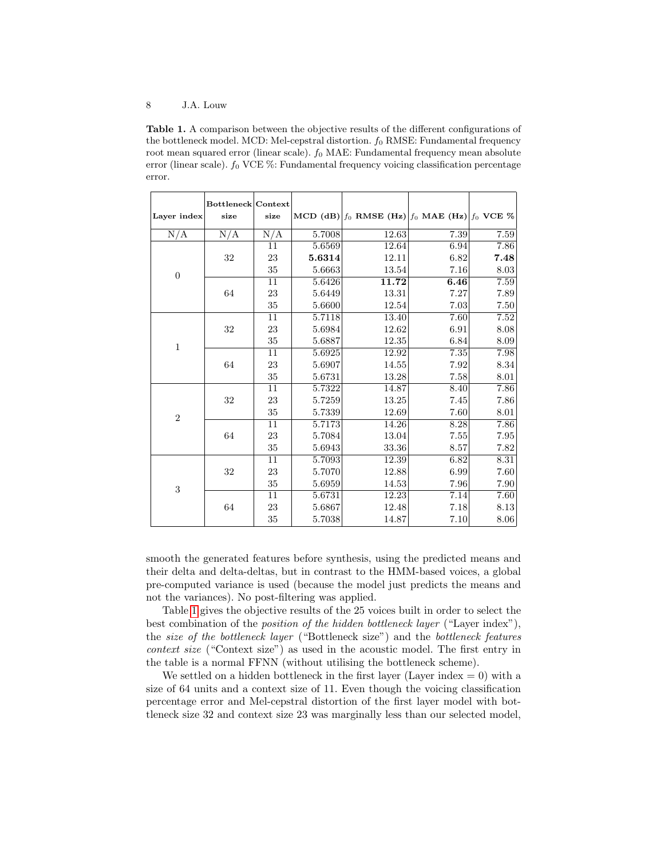<span id="page-7-0"></span>Table 1. A comparison between the objective results of the different configurations of the bottleneck model. MCD: Mel-cepstral distortion.  $f_0$  RMSE: Fundamental frequency root mean squared error (linear scale).  $f_0$  MAE: Fundamental frequency mean absolute error (linear scale).  $f_0$  VCE  $\%$ : Fundamental frequency voicing classification percentage error.

| Layer index      | <b>Bottleneck Context</b><br>size | size   |            | MCD (dB) $ f_0$ RMSE (Hz) $ f_0$ MAE (Hz) $ f_0$ VCE % |          |      |
|------------------|-----------------------------------|--------|------------|--------------------------------------------------------|----------|------|
| N/A              | N/A                               | N/A    | 5.7008     | 12.63                                                  | 7.39     | 7.59 |
| $\overline{0}$   |                                   | 11     | 5.6569     | 12.64                                                  | 6.94     | 7.86 |
|                  | 32                                | 23     | 5.6314     | 12.11                                                  | 6.82     | 7.48 |
|                  |                                   | 35     | 5.6663     | 13.54                                                  | $7.16\,$ | 8.03 |
|                  | 64                                | 11     | 5.6426     | 11.72                                                  | 6.46     | 7.59 |
|                  |                                   | 23     | 5.6449     | 13.31                                                  | 7.27     | 7.89 |
|                  |                                   | 35     | 5.6600     | 12.54                                                  | 7.03     | 7.50 |
|                  | 32                                | 11     | 5.7118     | 13.40                                                  | 7.60     | 7.52 |
|                  |                                   | 23     | 5.6984     | 12.62                                                  | 6.91     | 8.08 |
|                  |                                   | 35     | 5.6887     | 12.35                                                  | 6.84     | 8.09 |
| $\mathbf{1}$     |                                   | 11     | 5.6925     | 12.92                                                  | 7.35     | 7.98 |
|                  | 64                                | 23     | 5.6907     | 14.55                                                  | 7.92     | 8.34 |
|                  |                                   | 35     | 5.6731     | 13.28                                                  | 7.58     | 8.01 |
| $\boldsymbol{2}$ |                                   | 11     | 5.7322     | 14.87                                                  | 8.40     | 7.86 |
|                  | 32                                | 23     | 5.7259     | 13.25                                                  | 7.45     | 7.86 |
|                  |                                   | $35\,$ | $5.7339\,$ | 12.69                                                  | 7.60     | 8.01 |
|                  |                                   | 11     | 5.7173     | 14.26                                                  | 8.28     | 7.86 |
|                  | 64                                | 23     | 5.7084     | 13.04                                                  | 7.55     | 7.95 |
|                  |                                   | 35     | 5.6943     | 33.36                                                  | 8.57     | 7.82 |
| 3                | 32                                | 11     | 5.7093     | 12.39                                                  | 6.82     | 8.31 |
|                  |                                   | 23     | 5.7070     | 12.88                                                  | 6.99     | 7.60 |
|                  |                                   | 35     | 5.6959     | 14.53                                                  | 7.96     | 7.90 |
|                  |                                   | 11     | 5.6731     | 12.23                                                  | 7.14     | 7.60 |
|                  | 64                                | 23     | 5.6867     | 12.48                                                  | 7.18     | 8.13 |
|                  |                                   | $35\,$ | 5.7038     | 14.87                                                  | 7.10     | 8.06 |

smooth the generated features before synthesis, using the predicted means and their delta and delta-deltas, but in contrast to the HMM-based voices, a global pre-computed variance is used (because the model just predicts the means and not the variances). No post-filtering was applied.

Table [1](#page-7-0) gives the objective results of the 25 voices built in order to select the best combination of the position of the hidden bottleneck layer ("Layer index"), the size of the bottleneck layer ("Bottleneck size") and the bottleneck features context size ("Context size") as used in the acoustic model. The first entry in the table is a normal FFNN (without utilising the bottleneck scheme).

We settled on a hidden bottleneck in the first layer (Layer index  $= 0$ ) with a size of 64 units and a context size of 11. Even though the voicing classification percentage error and Mel-cepstral distortion of the first layer model with bottleneck size 32 and context size 23 was marginally less than our selected model,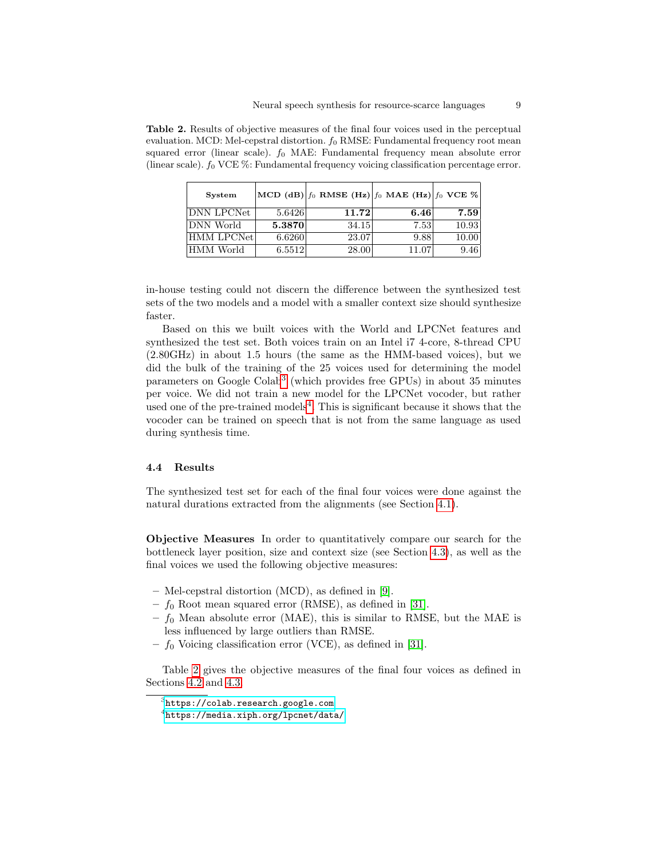| <b>System</b>     |        | MCD (dB) $ f_0$ RMSE (Hz) $ f_0$ MAE (Hz) $ f_0$ VCE % |       |       |
|-------------------|--------|--------------------------------------------------------|-------|-------|
| DNN LPCNet        | 5.6426 | 11.72                                                  | 6.46  | 7.59  |
| DNN World         | 5.3870 | 34.15                                                  | 7.53  | 10.93 |
| <b>HMM LPCNet</b> | 6.6260 | 23.07                                                  | 9.88  | 10.00 |
| HMM World         | 6.5512 | 28.00                                                  | 11.07 | 9.46  |

<span id="page-8-3"></span>Table 2. Results of objective measures of the final four voices used in the perceptual evaluation. MCD: Mel-cepstral distortion.  $f_0$  RMSE: Fundamental frequency root mean squared error (linear scale).  $f_0$  MAE: Fundamental frequency mean absolute error (linear scale).  $f_0$  VCE  $\%$ : Fundamental frequency voicing classification percentage error.

in-house testing could not discern the difference between the synthesized test sets of the two models and a model with a smaller context size should synthesize faster.

Based on this we built voices with the World and LPCNet features and synthesized the test set. Both voices train on an Intel i7 4-core, 8-thread CPU (2.80GHz) in about 1.5 hours (the same as the HMM-based voices), but we did the bulk of the training of the 25 voices used for determining the model parameters on Google Colab<sup>[3](#page-8-1)</sup> (which provides free GPUs) in about 35 minutes per voice. We did not train a new model for the LPCNet vocoder, but rather used one of the pre-trained models<sup>[4](#page-8-2)</sup>. This is significant because it shows that the vocoder can be trained on speech that is not from the same language as used during synthesis time.

#### <span id="page-8-0"></span>4.4 Results

The synthesized test set for each of the final four voices were done against the natural durations extracted from the alignments (see Section [4.1\)](#page-4-1).

Objective Measures In order to quantitatively compare our search for the bottleneck layer position, size and context size (see Section [4.3\)](#page-6-1), as well as the final voices we used the following objective measures:

- Mel-cepstral distortion (MCD), as defined in [\[9\]](#page-11-14).
- $f_0$  Root mean squared error (RMSE), as defined in [\[31\]](#page-12-11).
- $f_0$  Mean absolute error (MAE), this is similar to RMSE, but the MAE is less influenced by large outliers than RMSE.
- $f_0$  Voicing classification error (VCE), as defined in [\[31\]](#page-12-11).

Table [2](#page-8-3) gives the objective measures of the final four voices as defined in Sections [4.2](#page-5-0) and [4.3.](#page-6-1)

<span id="page-8-1"></span> $^3$ https:// $\verb|colab.research.google.com|$ 

<span id="page-8-2"></span> $^4$ https://media.xiph.org/lp ${\tt cnet/data/}$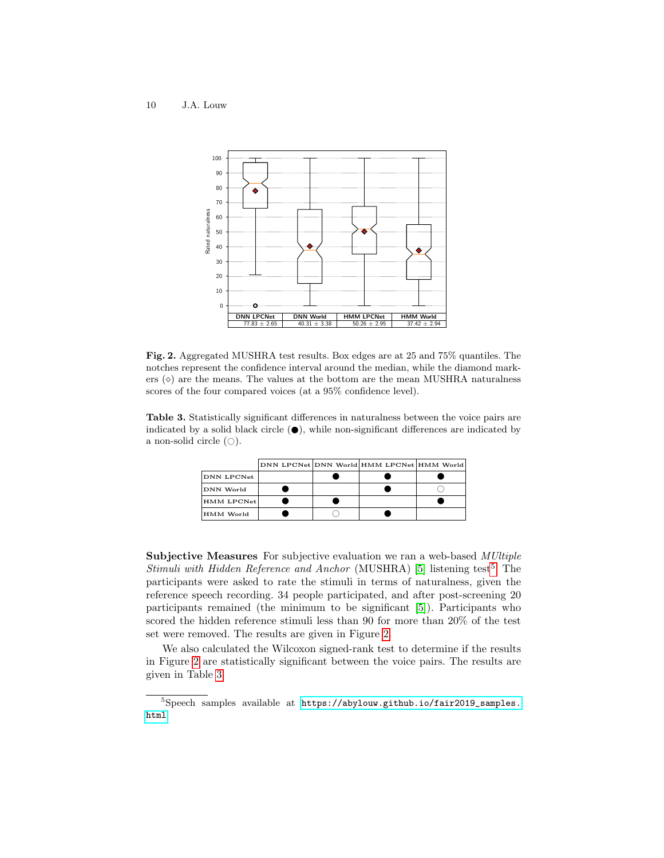

<span id="page-9-1"></span>Fig. 2. Aggregated MUSHRA test results. Box edges are at 25 and 75% quantiles. The notches represent the confidence interval around the median, while the diamond markers  $(\diamond)$  are the means. The values at the bottom are the mean MUSHRA naturalness scores of the four compared voices (at a 95% confidence level).

<span id="page-9-2"></span>Table 3. Statistically significant differences in naturalness between the voice pairs are indicated by a solid black circle  $(\bullet)$ , while non-significant differences are indicated by a non-solid circle  $( \bigcirc).$ 

|            |  | DNN LPCNet DNN World HMM LPCNet HMM World |  |
|------------|--|-------------------------------------------|--|
| DNN LPCNet |  |                                           |  |
| DNN World  |  |                                           |  |
| HMM LPCNet |  |                                           |  |
| HMM World  |  |                                           |  |

Subjective Measures For subjective evaluation we ran a web-based MUltiple Stimuli with Hidden Reference and Anchor (MUSHRA)  $[5]$  listening test<sup>[5](#page-9-0)</sup>. The participants were asked to rate the stimuli in terms of naturalness, given the reference speech recording. 34 people participated, and after post-screening 20 participants remained (the minimum to be significant [\[5\]](#page-11-15)). Participants who scored the hidden reference stimuli less than 90 for more than 20% of the test set were removed. The results are given in Figure [2.](#page-9-1)

We also calculated the Wilcoxon signed-rank test to determine if the results in Figure [2](#page-9-1) are statistically significant between the voice pairs. The results are given in Table [3.](#page-9-2)

<span id="page-9-0"></span><sup>5</sup>Speech samples available at [https://abylouw.github.io/fair2019\\_samples.](https://abylouw.github.io/fair2019_samples.html) [html](https://abylouw.github.io/fair2019_samples.html)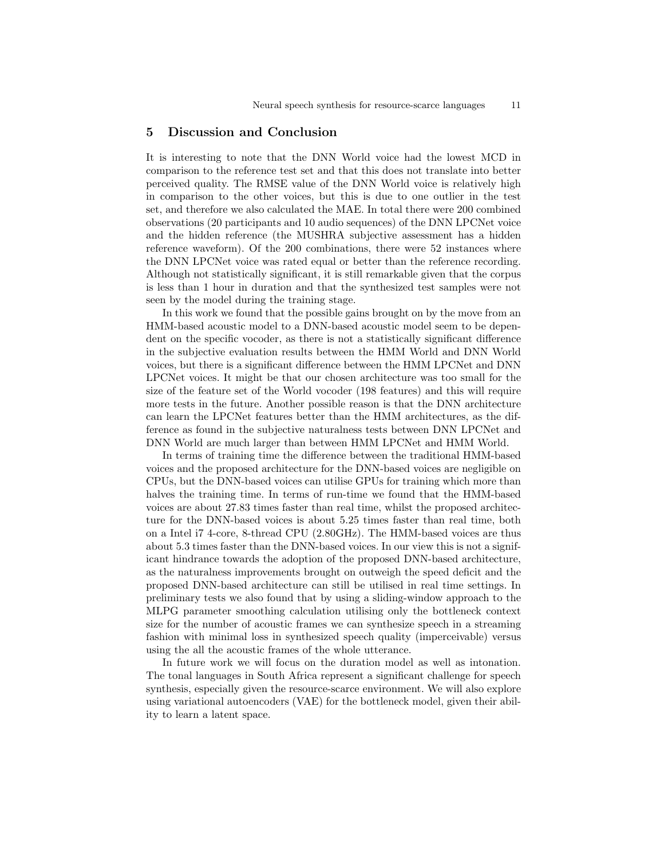### <span id="page-10-0"></span>5 Discussion and Conclusion

It is interesting to note that the DNN World voice had the lowest MCD in comparison to the reference test set and that this does not translate into better perceived quality. The RMSE value of the DNN World voice is relatively high in comparison to the other voices, but this is due to one outlier in the test set, and therefore we also calculated the MAE. In total there were 200 combined observations (20 participants and 10 audio sequences) of the DNN LPCNet voice and the hidden reference (the MUSHRA subjective assessment has a hidden reference waveform). Of the 200 combinations, there were 52 instances where the DNN LPCNet voice was rated equal or better than the reference recording. Although not statistically significant, it is still remarkable given that the corpus is less than 1 hour in duration and that the synthesized test samples were not seen by the model during the training stage.

In this work we found that the possible gains brought on by the move from an HMM-based acoustic model to a DNN-based acoustic model seem to be dependent on the specific vocoder, as there is not a statistically significant difference in the subjective evaluation results between the HMM World and DNN World voices, but there is a significant difference between the HMM LPCNet and DNN LPCNet voices. It might be that our chosen architecture was too small for the size of the feature set of the World vocoder (198 features) and this will require more tests in the future. Another possible reason is that the DNN architecture can learn the LPCNet features better than the HMM architectures, as the difference as found in the subjective naturalness tests between DNN LPCNet and DNN World are much larger than between HMM LPCNet and HMM World.

In terms of training time the difference between the traditional HMM-based voices and the proposed architecture for the DNN-based voices are negligible on CPUs, but the DNN-based voices can utilise GPUs for training which more than halves the training time. In terms of run-time we found that the HMM-based voices are about 27.83 times faster than real time, whilst the proposed architecture for the DNN-based voices is about 5.25 times faster than real time, both on a Intel i7 4-core, 8-thread CPU (2.80GHz). The HMM-based voices are thus about 5.3 times faster than the DNN-based voices. In our view this is not a significant hindrance towards the adoption of the proposed DNN-based architecture, as the naturalness improvements brought on outweigh the speed deficit and the proposed DNN-based architecture can still be utilised in real time settings. In preliminary tests we also found that by using a sliding-window approach to the MLPG parameter smoothing calculation utilising only the bottleneck context size for the number of acoustic frames we can synthesize speech in a streaming fashion with minimal loss in synthesized speech quality (imperceivable) versus using the all the acoustic frames of the whole utterance.

In future work we will focus on the duration model as well as intonation. The tonal languages in South Africa represent a significant challenge for speech synthesis, especially given the resource-scarce environment. We will also explore using variational autoencoders (VAE) for the bottleneck model, given their ability to learn a latent space.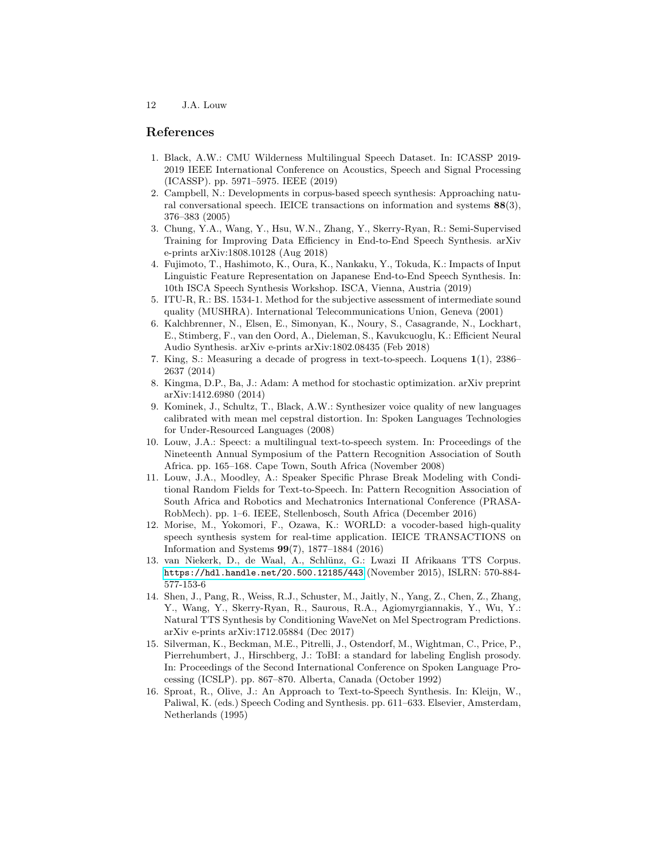# References

- <span id="page-11-3"></span>1. Black, A.W.: CMU Wilderness Multilingual Speech Dataset. In: ICASSP 2019- 2019 IEEE International Conference on Acoustics, Speech and Signal Processing (ICASSP). pp. 5971–5975. IEEE (2019)
- <span id="page-11-4"></span>2. Campbell, N.: Developments in corpus-based speech synthesis: Approaching natural conversational speech. IEICE transactions on information and systems  $88(3)$ , 376–383 (2005)
- <span id="page-11-0"></span>3. Chung, Y.A., Wang, Y., Hsu, W.N., Zhang, Y., Skerry-Ryan, R.: Semi-Supervised Training for Improving Data Efficiency in End-to-End Speech Synthesis. arXiv e-prints arXiv:1808.10128 (Aug 2018)
- <span id="page-11-1"></span>4. Fujimoto, T., Hashimoto, K., Oura, K., Nankaku, Y., Tokuda, K.: Impacts of Input Linguistic Feature Representation on Japanese End-to-End Speech Synthesis. In: 10th ISCA Speech Synthesis Workshop. ISCA, Vienna, Austria (2019)
- <span id="page-11-15"></span>5. ITU-R, R.: BS. 1534-1. Method for the subjective assessment of intermediate sound quality (MUSHRA). International Telecommunications Union, Geneva (2001)
- <span id="page-11-8"></span>6. Kalchbrenner, N., Elsen, E., Simonyan, K., Noury, S., Casagrande, N., Lockhart, E., Stimberg, F., van den Oord, A., Dieleman, S., Kavukcuoglu, K.: Efficient Neural Audio Synthesis. arXiv e-prints arXiv:1802.08435 (Feb 2018)
- <span id="page-11-5"></span>7. King, S.: Measuring a decade of progress in text-to-speech. Loquens 1(1), 2386– 2637 (2014)
- <span id="page-11-13"></span>8. Kingma, D.P., Ba, J.: Adam: A method for stochastic optimization. arXiv preprint arXiv:1412.6980 (2014)
- <span id="page-11-14"></span>9. Kominek, J., Schultz, T., Black, A.W.: Synthesizer voice quality of new languages calibrated with mean mel cepstral distortion. In: Spoken Languages Technologies for Under-Resourced Languages (2008)
- <span id="page-11-10"></span>10. Louw, J.A.: Speect: a multilingual text-to-speech system. In: Proceedings of the Nineteenth Annual Symposium of the Pattern Recognition Association of South Africa. pp. 165–168. Cape Town, South Africa (November 2008)
- <span id="page-11-12"></span>11. Louw, J.A., Moodley, A.: Speaker Specific Phrase Break Modeling with Conditional Random Fields for Text-to-Speech. In: Pattern Recognition Association of South Africa and Robotics and Mechatronics International Conference (PRASA-RobMech). pp. 1–6. IEEE, Stellenbosch, South Africa (December 2016)
- <span id="page-11-6"></span>12. Morise, M., Yokomori, F., Ozawa, K.: WORLD: a vocoder-based high-quality speech synthesis system for real-time application. IEICE TRANSACTIONS on Information and Systems 99(7), 1877–1884 (2016)
- <span id="page-11-9"></span>13. van Niekerk, D., de Waal, A., Schl¨unz, G.: Lwazi II Afrikaans TTS Corpus. <https://hdl.handle.net/20.500.12185/443> (November 2015), ISLRN: 570-884- 577-153-6
- <span id="page-11-2"></span>14. Shen, J., Pang, R., Weiss, R.J., Schuster, M., Jaitly, N., Yang, Z., Chen, Z., Zhang, Y., Wang, Y., Skerry-Ryan, R., Saurous, R.A., Agiomyrgiannakis, Y., Wu, Y.: Natural TTS Synthesis by Conditioning WaveNet on Mel Spectrogram Predictions. arXiv e-prints arXiv:1712.05884 (Dec 2017)
- <span id="page-11-11"></span>15. Silverman, K., Beckman, M.E., Pitrelli, J., Ostendorf, M., Wightman, C., Price, P., Pierrehumbert, J., Hirschberg, J.: ToBI: a standard for labeling English prosody. In: Proceedings of the Second International Conference on Spoken Language Processing (ICSLP). pp. 867–870. Alberta, Canada (October 1992)
- <span id="page-11-7"></span>16. Sproat, R., Olive, J.: An Approach to Text-to-Speech Synthesis. In: Kleijn, W., Paliwal, K. (eds.) Speech Coding and Synthesis. pp. 611–633. Elsevier, Amsterdam, Netherlands (1995)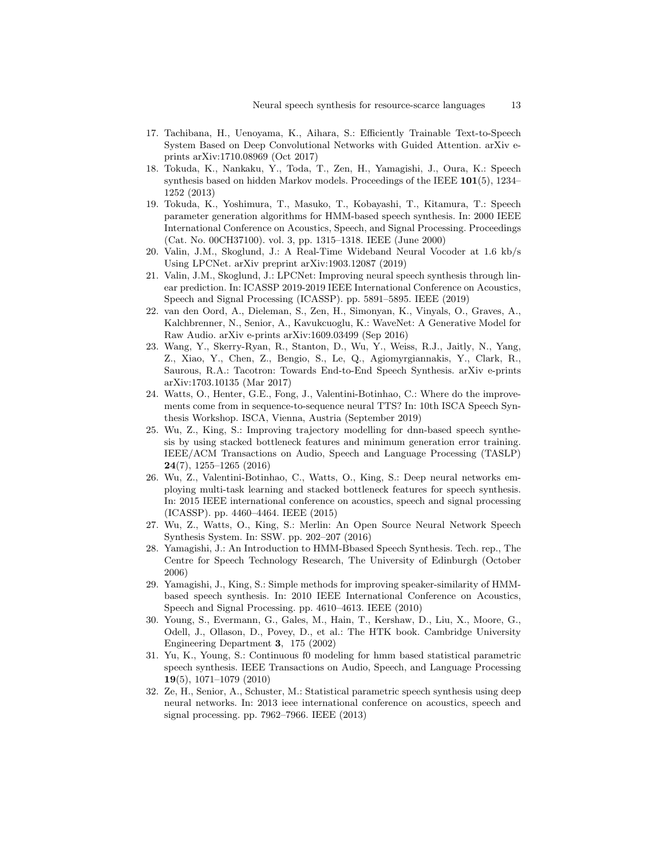- 17. Tachibana, H., Uenoyama, K., Aihara, S.: Efficiently Trainable Text-to-Speech System Based on Deep Convolutional Networks with Guided Attention. arXiv eprints arXiv:1710.08969 (Oct 2017)
- <span id="page-12-1"></span>18. Tokuda, K., Nankaku, Y., Toda, T., Zen, H., Yamagishi, J., Oura, K.: Speech synthesis based on hidden Markov models. Proceedings of the IEEE 101(5), 1234– 1252 (2013)
- <span id="page-12-2"></span>19. Tokuda, K., Yoshimura, T., Masuko, T., Kobayashi, T., Kitamura, T.: Speech parameter generation algorithms for HMM-based speech synthesis. In: 2000 IEEE International Conference on Acoustics, Speech, and Signal Processing. Proceedings (Cat. No. 00CH37100). vol. 3, pp. 1315–1318. IEEE (June 2000)
- <span id="page-12-5"></span>20. Valin, J.M., Skoglund, J.: A Real-Time Wideband Neural Vocoder at 1.6 kb/s Using LPCNet. arXiv preprint arXiv:1903.12087 (2019)
- <span id="page-12-6"></span>21. Valin, J.M., Skoglund, J.: LPCNet: Improving neural speech synthesis through linear prediction. In: ICASSP 2019-2019 IEEE International Conference on Acoustics, Speech and Signal Processing (ICASSP). pp. 5891–5895. IEEE (2019)
- 22. van den Oord, A., Dieleman, S., Zen, H., Simonyan, K., Vinyals, O., Graves, A., Kalchbrenner, N., Senior, A., Kavukcuoglu, K.: WaveNet: A Generative Model for Raw Audio. arXiv e-prints arXiv:1609.03499 (Sep 2016)
- 23. Wang, Y., Skerry-Ryan, R., Stanton, D., Wu, Y., Weiss, R.J., Jaitly, N., Yang, Z., Xiao, Y., Chen, Z., Bengio, S., Le, Q., Agiomyrgiannakis, Y., Clark, R., Saurous, R.A.: Tacotron: Towards End-to-End Speech Synthesis. arXiv e-prints arXiv:1703.10135 (Mar 2017)
- 24. Watts, O., Henter, G.E., Fong, J., Valentini-Botinhao, C.: Where do the improvements come from in sequence-to-sequence neural TTS? In: 10th ISCA Speech Synthesis Workshop. ISCA, Vienna, Austria (September 2019)
- <span id="page-12-4"></span>25. Wu, Z., King, S.: Improving trajectory modelling for dnn-based speech synthesis by using stacked bottleneck features and minimum generation error training. IEEE/ACM Transactions on Audio, Speech and Language Processing (TASLP) 24(7), 1255–1265 (2016)
- <span id="page-12-10"></span>26. Wu, Z., Valentini-Botinhao, C., Watts, O., King, S.: Deep neural networks employing multi-task learning and stacked bottleneck features for speech synthesis. In: 2015 IEEE international conference on acoustics, speech and signal processing (ICASSP). pp. 4460–4464. IEEE (2015)
- <span id="page-12-9"></span>27. Wu, Z., Watts, O., King, S.: Merlin: An Open Source Neural Network Speech Synthesis System. In: SSW. pp. 202–207 (2016)
- <span id="page-12-0"></span>28. Yamagishi, J.: An Introduction to HMM-Bbased Speech Synthesis. Tech. rep., The Centre for Speech Technology Research, The University of Edinburgh (October 2006)
- <span id="page-12-8"></span>29. Yamagishi, J., King, S.: Simple methods for improving speaker-similarity of HMMbased speech synthesis. In: 2010 IEEE International Conference on Acoustics, Speech and Signal Processing. pp. 4610–4613. IEEE (2010)
- <span id="page-12-7"></span>30. Young, S., Evermann, G., Gales, M., Hain, T., Kershaw, D., Liu, X., Moore, G., Odell, J., Ollason, D., Povey, D., et al.: The HTK book. Cambridge University Engineering Department 3, 175 (2002)
- <span id="page-12-11"></span>31. Yu, K., Young, S.: Continuous f0 modeling for hmm based statistical parametric speech synthesis. IEEE Transactions on Audio, Speech, and Language Processing 19(5), 1071–1079 (2010)
- <span id="page-12-3"></span>32. Ze, H., Senior, A., Schuster, M.: Statistical parametric speech synthesis using deep neural networks. In: 2013 ieee international conference on acoustics, speech and signal processing. pp. 7962–7966. IEEE (2013)